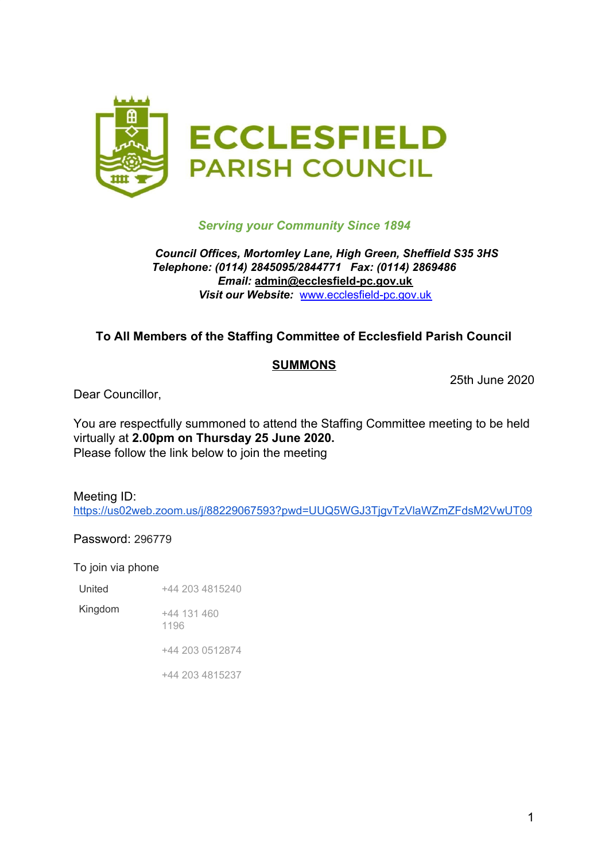

#### *Serving your Community Since 1894*

#### *Council Offices, Mortomley Lane, High Green, Sheffield S35 3HS Telephone: (0114) 2845095/2844771 Fax: (0114) 2869486 Email:* **admin@ecclesfield-pc.gov.uk** *Visit our Website:* [www.ecclesfield-pc.gov.uk](http://www.ecclesfield-pc.gov.uk/)

## **To All Members of the Staffing Committee of Ecclesfield Parish Council**

#### **SUMMONS**

25th June 2020

Dear Councillor,

You are respectfully summoned to attend the Staffing Committee meeting to be held virtually at **2.00pm on Thursday 25 June 2020.** Please follow the link below to join the meeting

Meeting ID: <https://us02web.zoom.us/j/88229067593?pwd=UUQ5WGJ3TjgvTzVlaWZmZFdsM2VwUT09>

Password: 296779

To join via phone

United +44 203 4815240

Kingdom +44 131 460

1196

+44 203 0512874

+44 203 4815237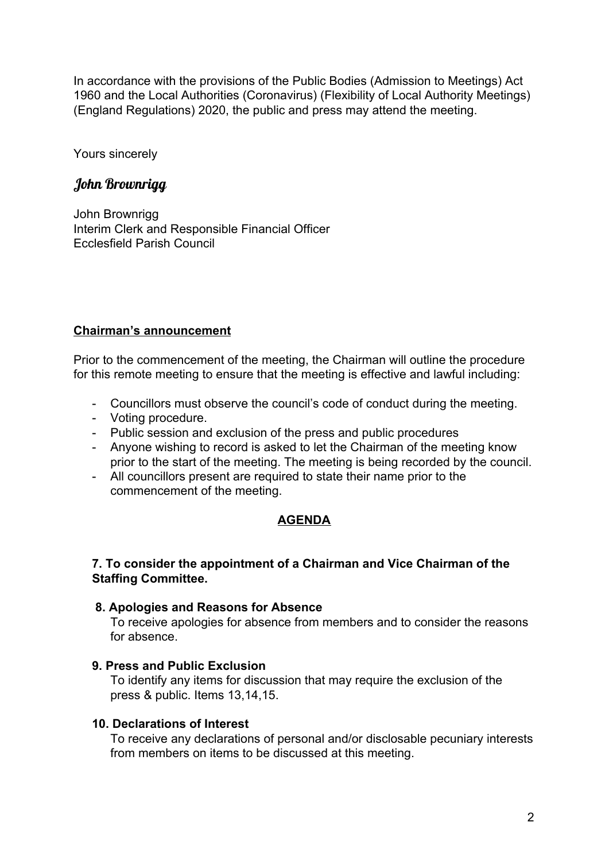In accordance with the provisions of the Public Bodies (Admission to Meetings) Act 1960 and the Local Authorities (Coronavirus) (Flexibility of Local Authority Meetings) (England Regulations) 2020, the public and press may attend the meeting.

Yours sincerely

# John Brownrigg

John Brownrigg Interim Clerk and Responsible Financial Officer Ecclesfield Parish Council

## **Chairman's announcement**

Prior to the commencement of the meeting, the Chairman will outline the procedure for this remote meeting to ensure that the meeting is effective and lawful including:

- Councillors must observe the council's code of conduct during the meeting.
- Voting procedure.
- Public session and exclusion of the press and public procedures
- Anyone wishing to record is asked to let the Chairman of the meeting know prior to the start of the meeting. The meeting is being recorded by the council.
- All councillors present are required to state their name prior to the commencement of the meeting.

## **AGENDA**

#### **7. To consider the appointment of a Chairman and Vice Chairman of the Staffing Committee.**

#### **8. Apologies and Reasons for Absence**

To receive apologies for absence from members and to consider the reasons for absence.

#### **9. Press and Public Exclusion**

To identify any items for discussion that may require the exclusion of the press & public. Items 13,14,15.

## **10. Declarations of Interest**

To receive any declarations of personal and/or disclosable pecuniary interests from members on items to be discussed at this meeting.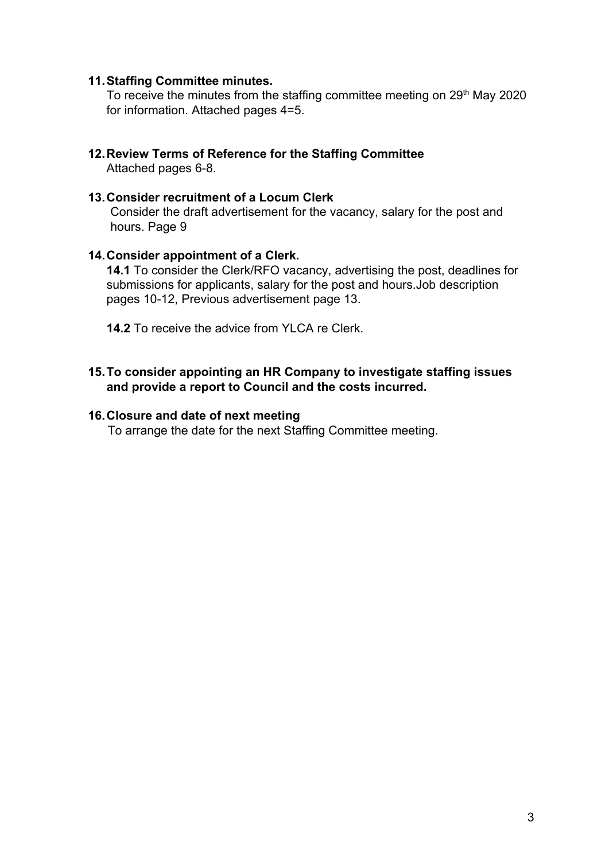#### **11.Staffing Committee minutes.**

To receive the minutes from the staffing committee meeting on 29<sup>th</sup> May 2020 for information. Attached pages 4=5.

**12.Review Terms of Reference for the Staffing Committee** Attached pages 6-8.

#### **13.Consider recruitment of a Locum Clerk**

Consider the draft advertisement for the vacancy, salary for the post and hours. Page 9

#### **14.Consider appointment of a Clerk.**

**14.1** To consider the Clerk/RFO vacancy, advertising the post, deadlines for submissions for applicants, salary for the post and hours.Job description pages 10-12, Previous advertisement page 13.

**14.2** To receive the advice from YLCA re Clerk

#### **15.To consider appointing an HR Company to investigate staffing issues and provide a report to Council and the costs incurred.**

#### **16.Closure and date of next meeting**

To arrange the date for the next Staffing Committee meeting.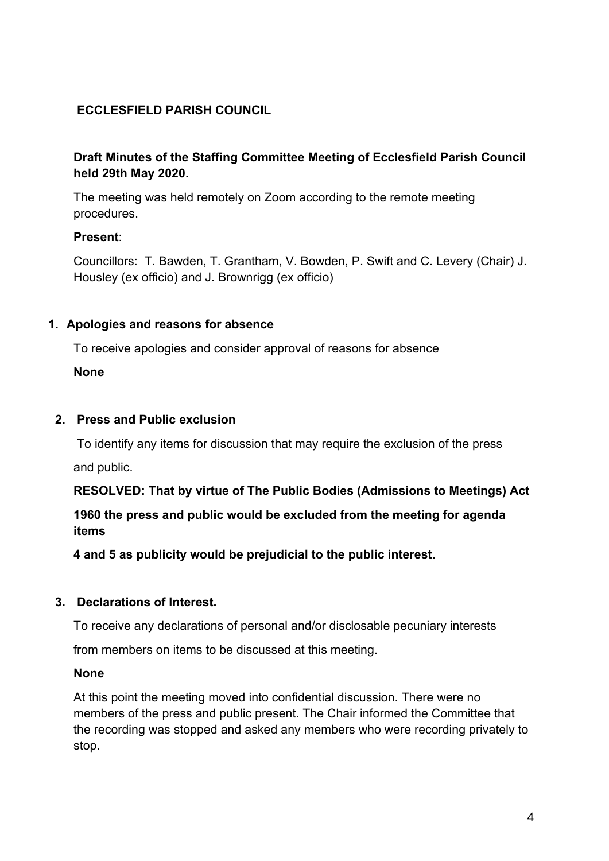# **ECCLESFIELD PARISH COUNCIL**

## **Draft Minutes of the Staffing Committee Meeting of Ecclesfield Parish Council held 29th May 2020.**

The meeting was held remotely on Zoom according to the remote meeting procedures.

## **Present**:

Councillors: T. Bawden, T. Grantham, V. Bowden, P. Swift and C. Levery (Chair) J. Housley (ex officio) and J. Brownrigg (ex officio)

#### **1. Apologies and reasons for absence**

To receive apologies and consider approval of reasons for absence

**None**

## **2. Press and Public exclusion**

To identify any items for discussion that may require the exclusion of the press

and public.

**RESOLVED: That by virtue of The Public Bodies (Admissions to Meetings) Act**

**1960 the press and public would be excluded from the meeting for agenda items**

**4 and 5 as publicity would be prejudicial to the public interest.**

## **3. Declarations of Interest.**

To receive any declarations of personal and/or disclosable pecuniary interests

from members on items to be discussed at this meeting.

#### **None**

At this point the meeting moved into confidential discussion. There were no members of the press and public present. The Chair informed the Committee that the recording was stopped and asked any members who were recording privately to stop.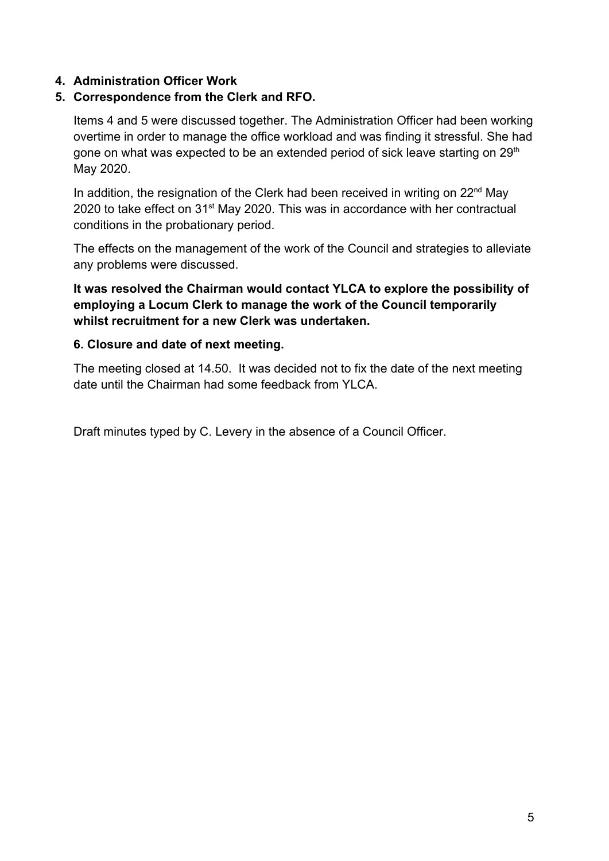## **4. Administration Officer Work**

## **5. Correspondence from the Clerk and RFO.**

Items 4 and 5 were discussed together. The Administration Officer had been working overtime in order to manage the office workload and was finding it stressful. She had gone on what was expected to be an extended period of sick leave starting on 29<sup>th</sup> May 2020.

In addition, the resignation of the Clerk had been received in writing on 22<sup>nd</sup> May 2020 to take effect on 31<sup>st</sup> May 2020. This was in accordance with her contractual conditions in the probationary period.

The effects on the management of the work of the Council and strategies to alleviate any problems were discussed.

**It was resolved the Chairman would contact YLCA to explore the possibility of employing a Locum Clerk to manage the work of the Council temporarily whilst recruitment for a new Clerk was undertaken.**

#### **6. Closure and date of next meeting.**

The meeting closed at 14.50. It was decided not to fix the date of the next meeting date until the Chairman had some feedback from YLCA.

Draft minutes typed by C. Levery in the absence of a Council Officer.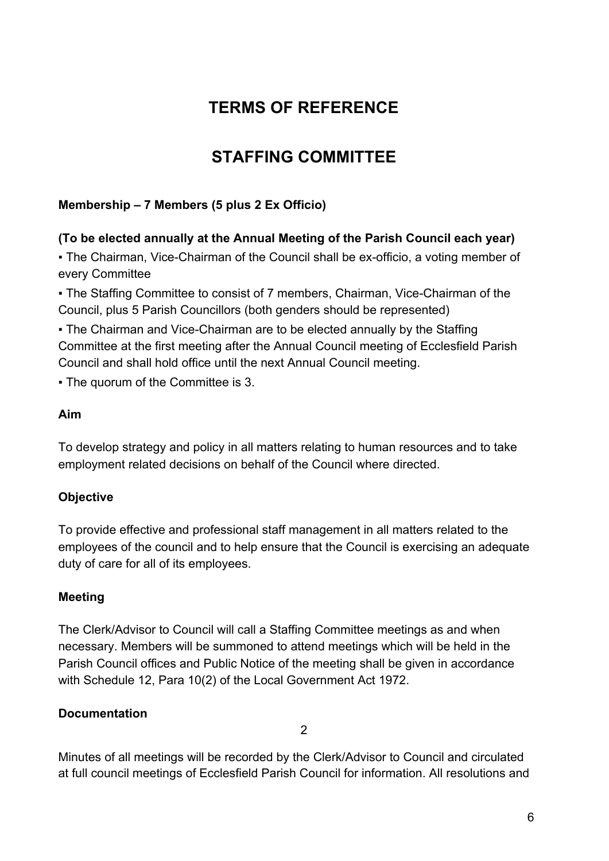# **TERMS OF REFERENCE**

# **STAFFING COMMITTEE**

# **Membership – 7 Members (5 plus 2 Ex Officio)**

# **(To be elected annually at the Annual Meeting of the Parish Council each year)**

• The Chairman, Vice-Chairman of the Council shall be ex-officio, a voting member of every Committee

• The Staffing Committee to consist of 7 members, Chairman, Vice-Chairman of the Council, plus 5 Parish Councillors (both genders should be represented)

• The Chairman and Vice-Chairman are to be elected annually by the Staffing Committee at the first meeting after the Annual Council meeting of Ecclesfield Parish Council and shall hold office until the next Annual Council meeting.

▪ The quorum of the Committee is 3.

## **Aim**

To develop strategy and policy in all matters relating to human resources and to take employment related decisions on behalf of the Council where directed.

# **Objective**

To provide effective and professional staff management in all matters related to the employees of the council and to help ensure that the Council is exercising an adequate duty of care for all of its employees.

# **Meeting**

The Clerk/Advisor to Council will call a Staffing Committee meetings as and when necessary. Members will be summoned to attend meetings which will be held in the Parish Council offices and Public Notice of the meeting shall be given in accordance with Schedule 12, Para 10(2) of the Local Government Act 1972.

# **Documentation**

2

Minutes of all meetings will be recorded by the Clerk/Advisor to Council and circulated at full council meetings of Ecclesfield Parish Council for information. All resolutions and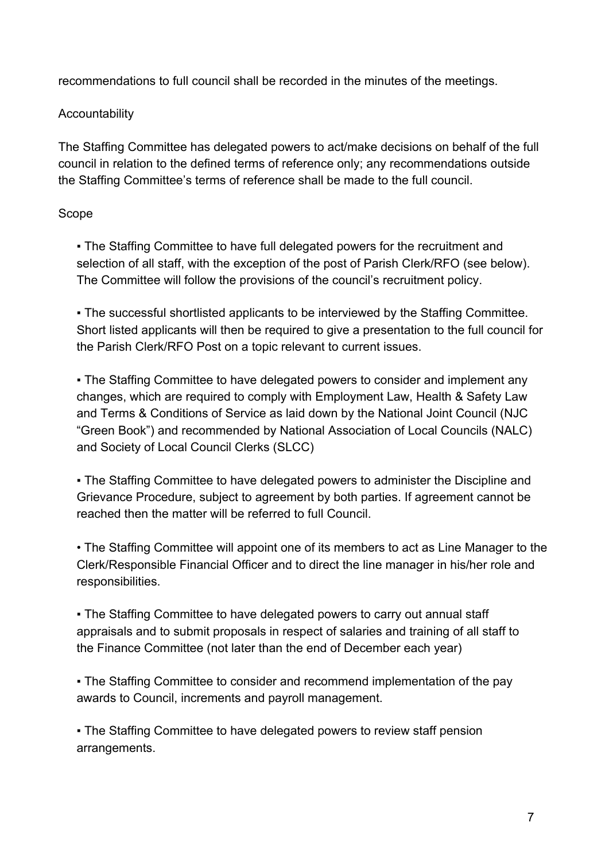recommendations to full council shall be recorded in the minutes of the meetings.

# Accountability

The Staffing Committee has delegated powers to act/make decisions on behalf of the full council in relation to the defined terms of reference only; any recommendations outside the Staffing Committee's terms of reference shall be made to the full council.

# Scope

• The Staffing Committee to have full delegated powers for the recruitment and selection of all staff, with the exception of the post of Parish Clerk/RFO (see below). The Committee will follow the provisions of the council's recruitment policy.

▪ The successful shortlisted applicants to be interviewed by the Staffing Committee. Short listed applicants will then be required to give a presentation to the full council for the Parish Clerk/RFO Post on a topic relevant to current issues.

• The Staffing Committee to have delegated powers to consider and implement any changes, which are required to comply with Employment Law, Health & Safety Law and Terms & Conditions of Service as laid down by the National Joint Council (NJC "Green Book") and recommended by National Association of Local Councils (NALC) and Society of Local Council Clerks (SLCC)

▪ The Staffing Committee to have delegated powers to administer the Discipline and Grievance Procedure, subject to agreement by both parties. If agreement cannot be reached then the matter will be referred to full Council.

• The Staffing Committee will appoint one of its members to act as Line Manager to the Clerk/Responsible Financial Officer and to direct the line manager in his/her role and responsibilities.

• The Staffing Committee to have delegated powers to carry out annual staff appraisals and to submit proposals in respect of salaries and training of all staff to the Finance Committee (not later than the end of December each year)

• The Staffing Committee to consider and recommend implementation of the pay awards to Council, increments and payroll management.

• The Staffing Committee to have delegated powers to review staff pension arrangements.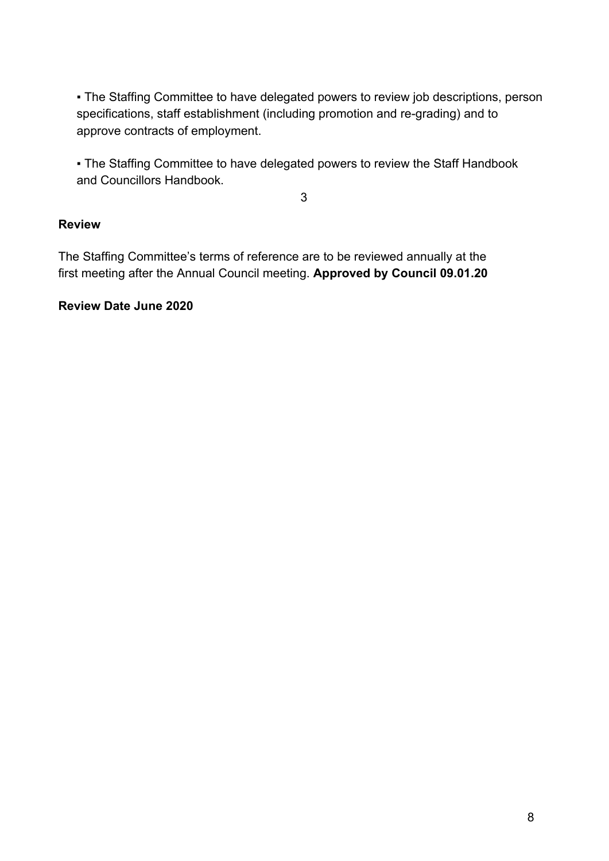• The Staffing Committee to have delegated powers to review job descriptions, person specifications, staff establishment (including promotion and re-grading) and to approve contracts of employment.

• The Staffing Committee to have delegated powers to review the Staff Handbook and Councillors Handbook.

3

# **Review**

The Staffing Committee's terms of reference are to be reviewed annually at the first meeting after the Annual Council meeting. **Approved by Council 09.01.20**

## **Review Date June 2020**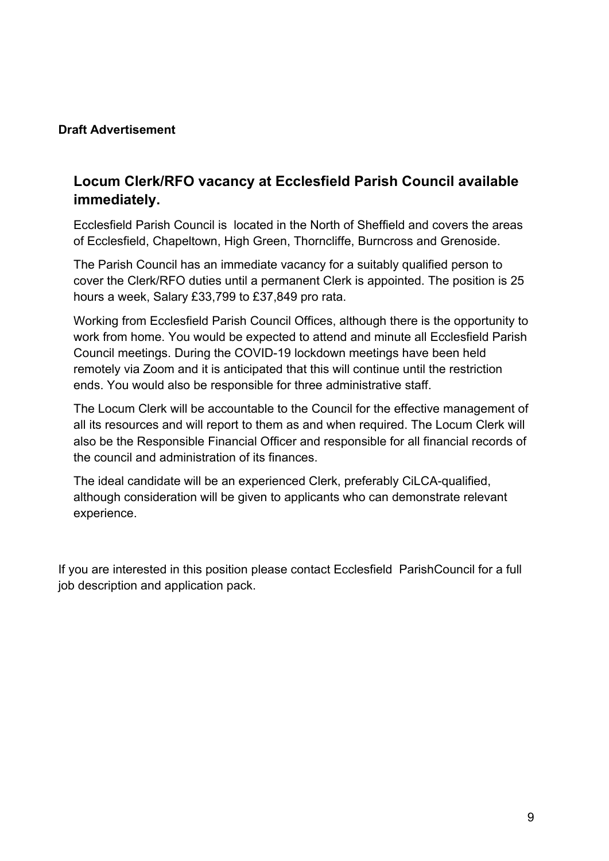## **Draft Advertisement**

# **Locum Clerk/RFO vacancy at Ecclesfield Parish Council available immediately.**

Ecclesfield Parish Council is located in the North of Sheffield and covers the areas of Ecclesfield, Chapeltown, High Green, Thorncliffe, Burncross and Grenoside.

The Parish Council has an immediate vacancy for a suitably qualified person to cover the Clerk/RFO duties until a permanent Clerk is appointed. The position is 25 hours a week, Salary £33,799 to £37,849 pro rata.

Working from Ecclesfield Parish Council Offices, although there is the opportunity to work from home. You would be expected to attend and minute all Ecclesfield Parish Council meetings. During the COVID-19 lockdown meetings have been held remotely via Zoom and it is anticipated that this will continue until the restriction ends. You would also be responsible for three administrative staff.

The Locum Clerk will be accountable to the Council for the effective management of all its resources and will report to them as and when required. The Locum Clerk will also be the Responsible Financial Officer and responsible for all financial records of the council and administration of its finances.

The ideal candidate will be an experienced Clerk, preferably CiLCA-qualified, although consideration will be given to applicants who can demonstrate relevant experience.

If you are interested in this position please contact Ecclesfield ParishCouncil for a full job description and application pack.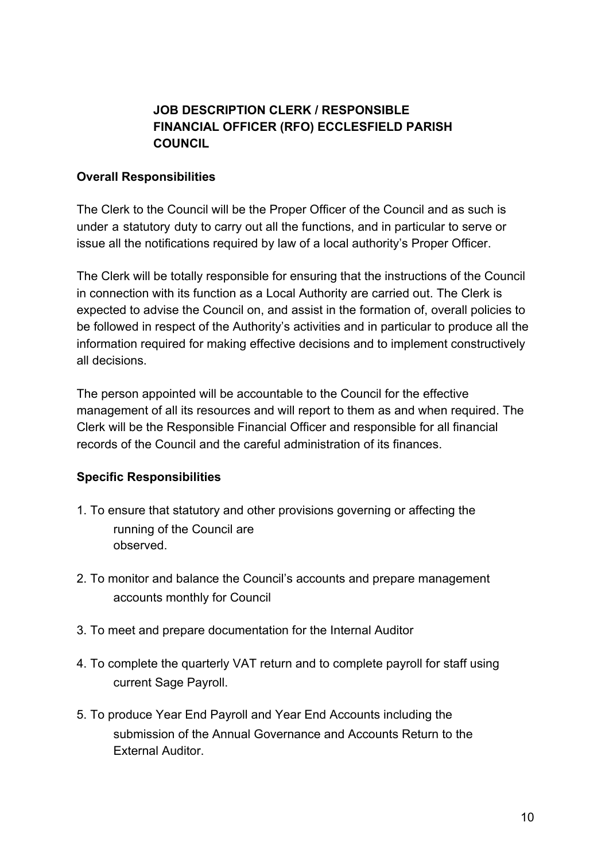# **JOB DESCRIPTION CLERK / RESPONSIBLE FINANCIAL OFFICER (RFO) ECCLESFIELD PARISH COUNCIL**

## **Overall Responsibilities**

The Clerk to the Council will be the Proper Officer of the Council and as such is under a statutory duty to carry out all the functions, and in particular to serve or issue all the notifications required by law of a local authority's Proper Officer.

The Clerk will be totally responsible for ensuring that the instructions of the Council in connection with its function as a Local Authority are carried out. The Clerk is expected to advise the Council on, and assist in the formation of, overall policies to be followed in respect of the Authority's activities and in particular to produce all the information required for making effective decisions and to implement constructively all decisions.

The person appointed will be accountable to the Council for the effective management of all its resources and will report to them as and when required. The Clerk will be the Responsible Financial Officer and responsible for all financial records of the Council and the careful administration of its finances.

## **Specific Responsibilities**

- 1. To ensure that statutory and other provisions governing or affecting the running of the Council are observed.
- 2. To monitor and balance the Council's accounts and prepare management accounts monthly for Council
- 3. To meet and prepare documentation for the Internal Auditor
- 4. To complete the quarterly VAT return and to complete payroll for staff using current Sage Payroll.
- 5. To produce Year End Payroll and Year End Accounts including the submission of the Annual Governance and Accounts Return to the External Auditor.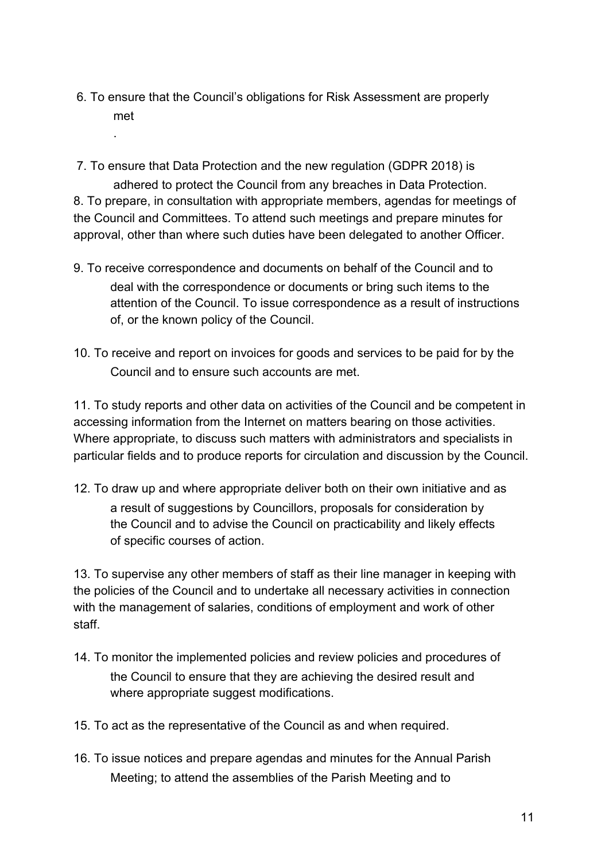6. To ensure that the Council's obligations for Risk Assessment are properly met

.

- 7. To ensure that Data Protection and the new regulation (GDPR 2018) is adhered to protect the Council from any breaches in Data Protection. 8. To prepare, in consultation with appropriate members, agendas for meetings of the Council and Committees. To attend such meetings and prepare minutes for approval, other than where such duties have been delegated to another Officer.
- 9. To receive correspondence and documents on behalf of the Council and to deal with the correspondence or documents or bring such items to the attention of the Council. To issue correspondence as a result of instructions of, or the known policy of the Council.
- 10. To receive and report on invoices for goods and services to be paid for by the Council and to ensure such accounts are met.

11. To study reports and other data on activities of the Council and be competent in accessing information from the Internet on matters bearing on those activities. Where appropriate, to discuss such matters with administrators and specialists in particular fields and to produce reports for circulation and discussion by the Council.

12. To draw up and where appropriate deliver both on their own initiative and as a result of suggestions by Councillors, proposals for consideration by the Council and to advise the Council on practicability and likely effects of specific courses of action.

13. To supervise any other members of staff as their line manager in keeping with the policies of the Council and to undertake all necessary activities in connection with the management of salaries, conditions of employment and work of other staff.

- 14. To monitor the implemented policies and review policies and procedures of the Council to ensure that they are achieving the desired result and where appropriate suggest modifications.
- 15. To act as the representative of the Council as and when required.
- 16. To issue notices and prepare agendas and minutes for the Annual Parish Meeting; to attend the assemblies of the Parish Meeting and to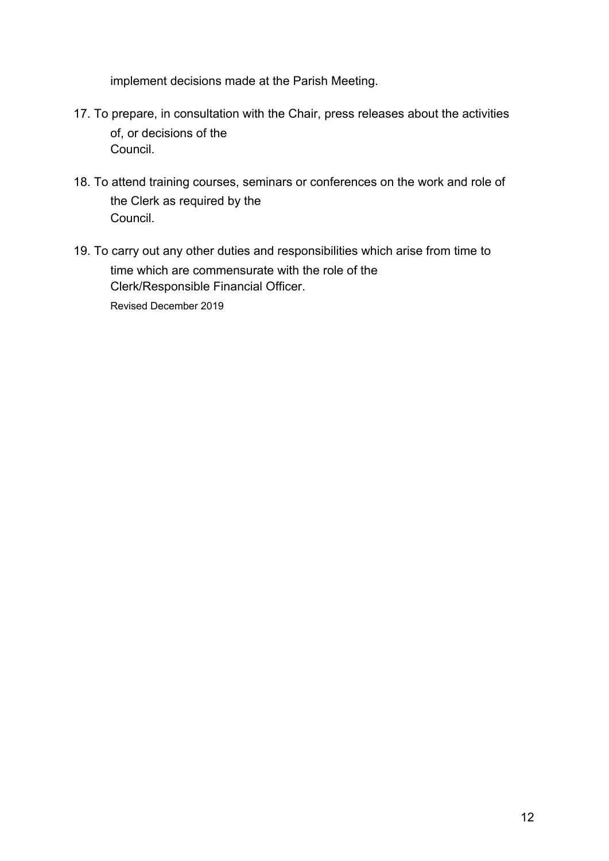implement decisions made at the Parish Meeting.

- 17. To prepare, in consultation with the Chair, press releases about the activities of, or decisions of the Council.
- 18. To attend training courses, seminars or conferences on the work and role of the Clerk as required by the Council.
- 19. To carry out any other duties and responsibilities which arise from time to time which are commensurate with the role of the Clerk/Responsible Financial Officer.

Revised December 2019